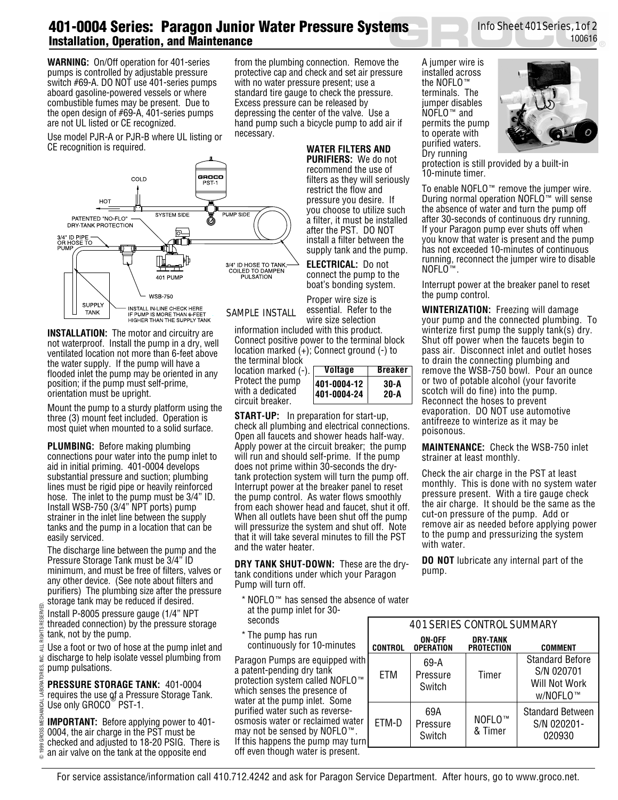## **401-0004 Series: Paragon Junior Water Pressure Systems Installation, Operation, and Maintenance**

**WARNING:** On/Off operation for 401-series pumps is controlled by adjustable pressure switch #69-A. DO NOT use 401-series pumps aboard gasoline-powered vessels or where combustible fumes may be present. Due to the open design of #69-A, 401-series pumps are not UL listed or CE recognized.

from the plumbing connection. Remove the protective cap and check and set air pressure with no water pressure present; use a standard tire gauge to check the pressure. Excess pressure can be released by depressing the center of the valve. Use a hand pump such a bicycle pump to add air if necessary.

Use model PJR-A or PJR-B where UL listing or CE recognition is required.



**INSTALLATION:** The motor and circuitry are not waterproof. Install the pump in a dry, well ventilated location not more than 6-feet above the water supply. If the pump will have a flooded inlet the pump may be oriented in any position; if the pump must self-prime, orientation must be upright.

Mount the pump to a sturdy platform using the three (3) mount feet included. Operation is most quiet when mounted to a solid surface.

**PLUMBING:** Before making plumbing connections pour water into the pump inlet to aid in initial priming. 401-0004 develops substantial pressure and suction; plumbing lines must be rigid pipe or heavily reinforced hose. The inlet to the pump must be 3/4" ID. Install WSB-750 (3/4" NPT ports) pump strainer in the inlet line between the supply tanks and the pump in a location that can be easily serviced.

The discharge line between the pump and the Pressure Storage Tank must be 3/4" ID minimum, and must be free of filters, valves or any other device. (See note about filters and purifiers) The plumbing size after the pressure storage tank may be reduced if desired.

- Install P-8005 pressure gauge (1/4" NPT
- 1999 GROSS MECHANICAL LABORATORIES, INC. ALL RIGHTS RESERVED. RIGHTS RESERVED threaded connection) by the pressure storage tank, not by the pump.

Ę Use a foot or two of hose at the pump inlet and ≌. discharge to help isolate vessel plumbing from SEIR pump pulsations.

**PRESSURE STORAGE TANK:** 401-0004 requires the use of a Pressure Storage Tank. Use only GROCO<sup>®</sup> PST-1.

**IMPORTANT:** Before applying power to 401- 0004, the air charge in the PST must be checked and adjusted to 18-20 PSIG. There is an air valve on the tank at the opposite end

©

GROSS pec

LABORA

**WATER FILTERS AND**

**PURIFIERS:** We do not recommend the use of filters as they will seriously restrict the flow and pressure you desire. If you choose to utilize such a filter, it must be installed after the PST. DO NOT install a filter between the supply tank and the pump.

**ELECTRICAL:** Do not connect the pump to the boat's bonding system.

Proper wire size is essential. Refer to the wire size selection

information included with this product. Connect positive power to the terminal block location marked (+); Connect ground (-) to the terminal block

location marked (-). Protect the pump with a dedicated circuit breaker.

| <b>Breaker</b> |
|----------------|
|                |
|                |
|                |

**START-UP:** In preparation for start-up, check all plumbing and electrical connections. Open all faucets and shower heads half-way. Apply power at the circuit breaker; the pump will run and should self-prime. If the pump does not prime within 30-seconds the drytank protection system will turn the pump off. Interrupt power at the breaker panel to reset the pump control. As water flows smoothly from each shower head and faucet, shut it off. When all outlets have been shut off the pump will pressurize the system and shut off. Note that it will take several minutes to fill the PST and the water heater.

**DRY TANK SHUT-DOWN:** These are the drytank conditions under which your Paragon Pump will turn off.

- \* NOFLO™ has sensed the absence of water
- at the pump inlet for 30 seconds
- \* The pump has run continuously for 10-minute

Paragon Pumps are equipped a patent-pending dry tank protection system called NOFL which senses the presence of water at the pump inlet. Some purified water such as reverseosmosis water or reclaimed wa may not be sensed by NOFLO If this happens the pump may off even though water is present. A jumper wire is installed across the NOFLO™ terminals. The jumper disables NOFLO™ and permits the pump to operate with purified waters. Dry running



100616

Info Sheet 401 Series, 1 of 2

protection is still provided by a built-in 10-minute timer.

To enable NOFLO™ remove the jumper wire. During normal operation NOFLO<sup>™</sup> will sense the absence of water and turn the pump off after 30-seconds of continuous dry running. If your Paragon pump ever shuts off when you know that water is present and the pump has not exceeded 10-minutes of continuous running, reconnect the jumper wire to disable NOFLO™.

Interrupt power at the breaker panel to reset the pump control.

**WINTERIZATION:** Freezing will damage your pump and the connected plumbing. To winterize first pump the supply tank(s) dry. Shut off power when the faucets begin to pass air. Disconnect inlet and outlet hoses to drain the connecting plumbing and remove the WSB-750 bowl. Pour an ounce or two of potable alcohol (your favorite scotch will do fine) into the pump. Reconnect the hoses to prevent evaporation. DO NOT use automotive antifreeze to winterize as it may be poisonous.

**MAINTENANCE:** Check the WSB-750 inlet strainer at least monthly.

Check the air charge in the PST at least monthly. This is done with no system water pressure present. With a tire gauge check the air charge. It should be the same as the cut-on pressure of the pump. Add or remove air as needed before applying power to the pump and pressurizing the system with water.

**DO NOT** lubricate any internal part of the pump.

|                           | <b>401 SERIES CONTROL SUMMARY</b> |                            |                                      |                                                                   |  |  |  |  |  |  |
|---------------------------|-----------------------------------|----------------------------|--------------------------------------|-------------------------------------------------------------------|--|--|--|--|--|--|
| )S                        | <b>CONTROL</b>                    | ON-OFF<br><b>OPERATION</b> | <b>DRY-TANK</b><br><b>PROTECTION</b> | <b>COMMENT</b>                                                    |  |  |  |  |  |  |
| with<br>$0^{\mathrm{TM}}$ | FTM                               | 69-A<br>Pressure<br>Switch | Timer                                | <b>Standard Before</b><br>S/N 020701<br>Will Not Work<br>w/NOFLO™ |  |  |  |  |  |  |
| ater<br>M<br>turn         | ETM-D                             | 69A<br>Pressure<br>Switch  | NOFLO <sup>™</sup><br>& Timer        | <b>Standard Between</b><br>S/N 020201-<br>020930                  |  |  |  |  |  |  |

## For service assistance/information call 410.712.4242 and ask for Paragon Service Department. After hours, go to www.groco.net.